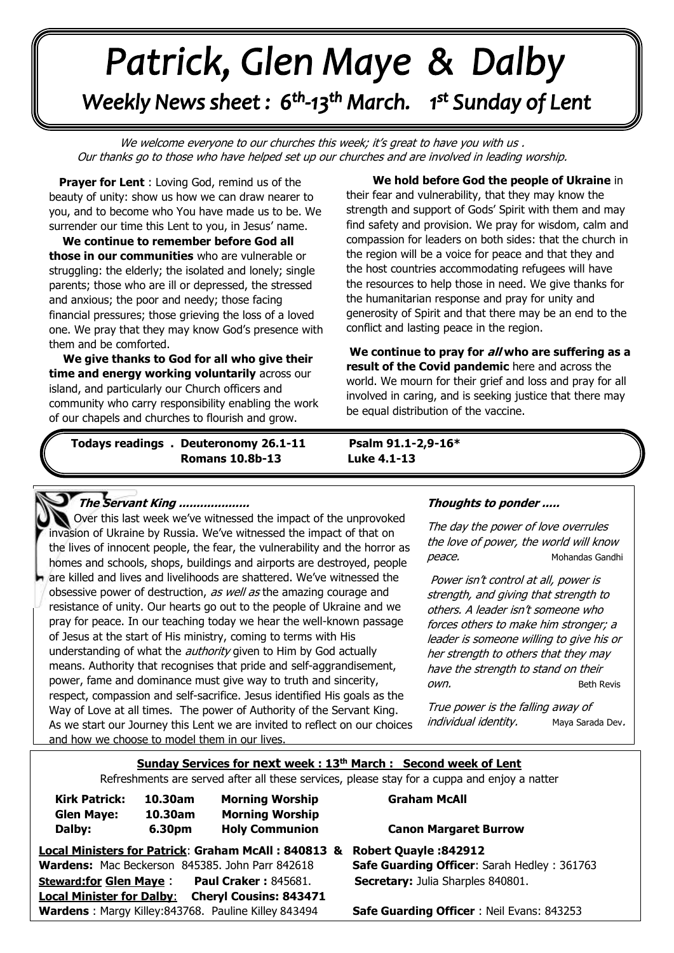# Patrick, Glen Maye & Dalby Weekly News sheet: 6<sup>th</sup>-13<sup>th</sup> March. 1<sup>st</sup> Sunday of Lent

*We welcome everyone to our churches this week; it's great to have you with us .***<br>Our thanks go to those who have helped set up our churches and are involved in leading worship.** We welcome everyone to our churches this week; it's great to have you with us.

**Prayer for Lent** : Loving God, remind us of the beauty of unity: show us how we can draw nearer to you, and to become who You have made us to be. We surrender our time this Lent to you, in Jesus' name.

 financial pressures; those grieving the loss of a loved one. we pray tnat tney n<br>them and be comforted. **. We continue to remember before God all those in our communities** who are vulnerable or struggling: the elderly; the isolated and lonely; single parents; those who are ill or depressed, the stressed and anxious; the poor and needy; those facing one. We pray that they may know God's presence with

 . **We give thanks to God for all who give their time and energy working voluntarily** across our island, and particularly our Church officers and community who carry responsibility enabling the work of our chapels and churches to flourish and grow.

*June: Trinity Sunday* **Todays readings . Deuteronomy 26.1-11 Psalm 91.1-2,9-16\* Romans 10.8b-13 Luke 4.1-13** 

 **We hold before God the people of Ukraine** in their fear and vulnerability, that they may know the strength and support of Gods' Spirit with them and may find safety and provision. We pray for wisdom, calm and compassion for leaders on both sides: that the church in the region will be a voice for peace and that they and the host countries accommodating refugees will have the resources to help those in need. We give thanks for the humanitarian response and pray for unity and generosity of Spirit and that there may be an end to the conflict and lasting peace in the region.

**We continue to pray for all who are suffering as a result of the Covid pandemic** here and across the world. We mourn for their grief and loss and pray for all involved in caring, and is seeking justice that there may be equal distribution of the vaccine.

## **The Servant King ....................**

 **N** Over this last week we've witnessed the impact of the unprovoked  invasion of Ukraine by Russia. We've witnessed the impact of that on  homes and schools, shops, buildings and airports are destroyed, people  obsessive power of destruction, as well as the amazing courage and resistance of unity. Our hearts go out to the people of Ukraine and we the lives of innocent people, the fear, the vulnerability and the horror as are killed and lives and livelihoods are shattered. We've witnessed the pray for peace. In our teaching today we hear the well-known passage of Jesus at the start of His ministry, coming to terms with His understanding of what the *authority* given to Him by God actually means. Authority that recognises that pride and self-aggrandisement, power, fame and dominance must give way to truth and sincerity, respect, compassion and self-sacrifice. Jesus identified His goals as the Way of Love at all times. The power of Authority of the Servant King. As we start our Journey this Lent we are invited to reflect on our choices and how we choose to model them in our lives.

#### **Thoughts to ponder .....**

The day the power of love overrules the love of power, the world will know peace. Mohandas Gandhi

Power isn't control at all, power is strength, and giving that strength to others. A leader isn't someone who forces others to make him stronger; a leader is someone willing to give his or her strength to others that they may have the strength to stand on their own. Beth Revis

True power is the falling away of individual identity. Maya Sarada Dev.

| Sunday Services for next week: 13 <sup>th</sup> March: Second week of Lent                   |                    |                                                     |                                                    |
|----------------------------------------------------------------------------------------------|--------------------|-----------------------------------------------------|----------------------------------------------------|
| Refreshments are served after all these services, please stay for a cuppa and enjoy a natter |                    |                                                     |                                                    |
| <b>Kirk Patrick:</b><br><b>Glen Maye:</b>                                                    | 10.30am<br>10.30am | <b>Morning Worship</b><br><b>Morning Worship</b>    | <b>Graham McAll</b>                                |
| Dalby:                                                                                       | 6.30pm             | <b>Holy Communion</b>                               | <b>Canon Margaret Burrow</b>                       |
|                                                                                              |                    | Local Ministers for Patrick: Graham McAll: 840813 & | <b>Robert Quayle: 842912</b>                       |
|                                                                                              |                    | Wardens: Mac Beckerson 845385. John Parr 842618     | <b>Safe Guarding Officer: Sarah Hedley: 361763</b> |
| <b>Steward:for Glen Maye:</b>                                                                |                    | <b>Paul Craker: 845681.</b>                         | Secretary: Julia Sharples 840801.                  |
| <b>Local Minister for Dalby:</b>                                                             |                    | <b>Cheryl Cousins: 843471</b>                       |                                                    |

**Wardens** : Margy Killey:843768. Pauline Killey 843494 **Safe Guarding Officer** : Neil Evans: 843253